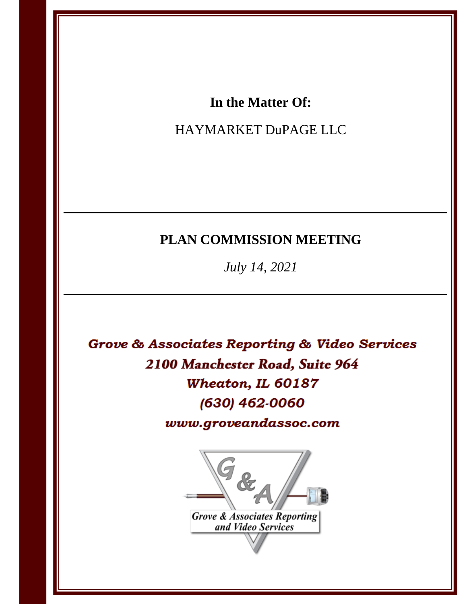### In the Matter Of:

### HAYMARKET DuPAGE LLC

## PLAN COMMISSION MEETING

July 14, 2021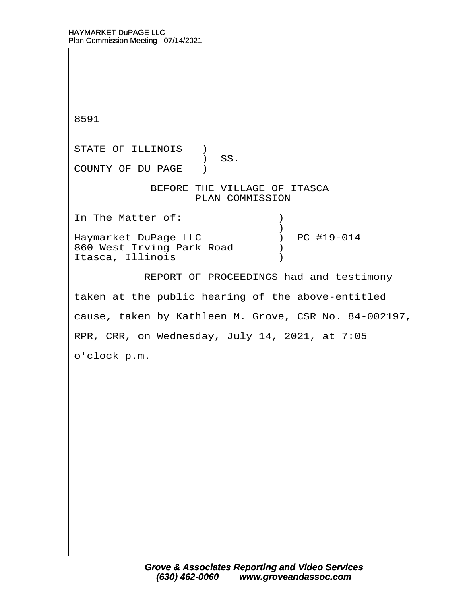8591 STATE OF ILLINOIS )  $\prime$  SS. COUNTY OF DU PAGE ) BEFORE THE VILLAGE OF ITASCA PLAN COMMISSION In The Matter of:  $\qquad \qquad$  )  $\hspace{0.5cm}$   $\hspace{0.5cm}$   $\hspace{0.5cm}$   $\hspace{0.5cm}$   $\hspace{0.5cm}$   $\hspace{0.5cm}$   $\hspace{0.5cm}$   $\hspace{0.5cm}$   $\hspace{0.5cm}$   $\hspace{0.5cm}$   $\hspace{0.5cm}$   $\hspace{0.5cm}$   $\hspace{0.5cm}$   $\hspace{0.5cm}$   $\hspace{0.5cm}$   $\hspace{0.5cm}$   $\hspace{0.5cm}$   $\hspace{0.5cm}$   $\hspace{$ Haymarket DuPage LLC  $\qquad \qquad$  ) PC #19-014 Haymarket DuPage LLC (a) PC #19-014<br>860 West Irving Park Road (b) Itasca, Illinois<sup>(1)</sup> REPORT OF PROCEEDINGS had and testimony taken at the public hearing of the above-entitled cause, taken by Kathleen M. Grove, CSR No. 84-002197, RPR, CRR, on Wednesday, July 14, 2021, at 7:05 o'clock p.m.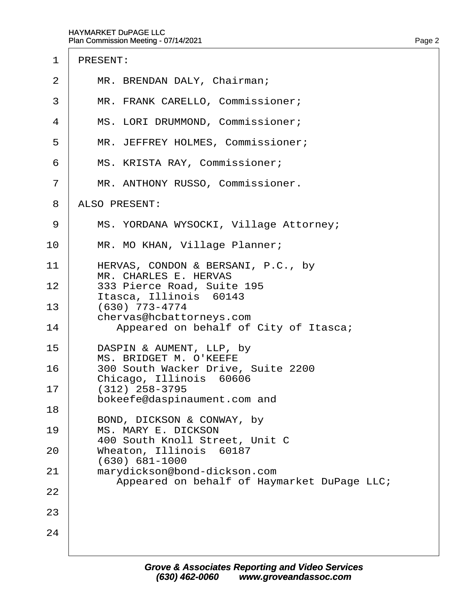- 1 PRESENT:
- 2 | MR. BRENDAN DALY, Chairman;
- 3 | MR. FRANK CARELLO, Commissioner;
- 4 | MS. LORI DRUMMOND, Commissioner;
- 5 | MR. JEFFREY HOLMES, Commissioner;
- 6 | MS. KRISTA RAY, Commissioner;
- 7 | MR. ANTHONY RUSSO, Commissioner.
- 8 ALSO PRESENT:
- 9 | MS. YORDANA WYSOCKI, Village Attorney;
- 10 | MR. MO KHAN, Village Planner;
- 11 | HERVAS, CONDON & BERSANI, P.C., by MR. CHARLES E. HERVAS
- 12 | 333 Pierce Road, Suite 195 Itasca, Illinois 60143
- $13 \cdot (630)$  773-4774 chervas@hcbattorneys.com
- 14 | Appeared on behalf of City of Itasca;
- 15 | DASPIN & AUMENT, LLP, by MS. BRIDGET M. O'KEEFE
- 16 | 300 South Wacker Drive, Suite 2200 Chicago, Illinois 60606
- $17 \mid (312)$  258-3795
- bokeefe@daspinaument.com and 18
	- BOND, DICKSON & CONWAY, by
- 19 | MS. MARY E. DICKSON 400 South Knoll Street, Unit C
- 20 | Wheaton, Illinois 60187 · · · · (630) 681-1000

23

24

- 21 | marydickson@bond-dickson.com
- Appeared on behalf of Haymarket DuPage LLC; 22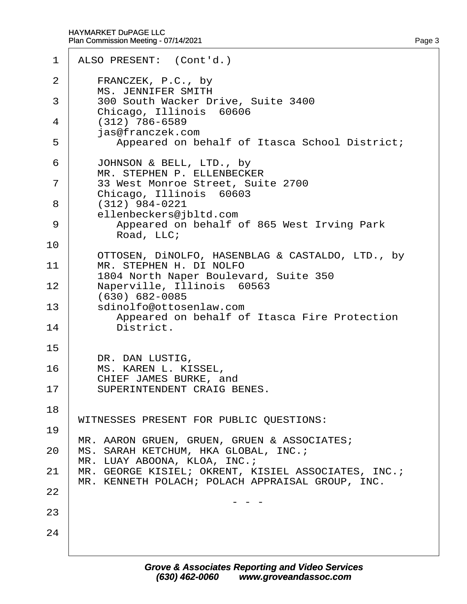|          | 1 ALSO PRESENT: (Cont'd.)                                                                               |
|----------|---------------------------------------------------------------------------------------------------------|
| 2        | FRANCZEK, P.C., by<br><b>MS. JENNIFER SMITH</b>                                                         |
| 3        | 300 South Wacker Drive, Suite 3400<br>Chicago, Illinois 60606                                           |
| 4        | $(312)$ 786-6589<br>jas@franczek.com                                                                    |
| 5        | Appeared on behalf of Itasca School District;                                                           |
| 6        | JOHNSON & BELL, LTD., by<br>MR. STEPHEN P. ELLENBECKER                                                  |
| 7        | 33 West Monroe Street, Suite 2700<br>Chicago, Illinois 60603                                            |
| 8        | $(312)$ 984-0221<br>ellenbeckers@jbltd.com                                                              |
| 9        | Appeared on behalf of 865 West Irving Park<br>Road, LLC;                                                |
| 10       | OTTOSEN, DINOLFO, HASENBLAG & CASTALDO, LTD., by                                                        |
| 11       | MR. STEPHEN H. DI NOLFO<br>1804 North Naper Boulevard, Suite 350                                        |
| 12       | Naperville, Illinois 60563<br>(630) 682-0085                                                            |
| 13<br>14 | sdinolfo@ottosenlaw.com<br>Appeared on behalf of Itasca Fire Protection<br>District.                    |
| 15       |                                                                                                         |
| 16       | DR. DAN LUSTIG,<br>MS. KAREN L. KISSEL,                                                                 |
| 17       | CHIEF JAMES BURKE, and<br>SUPERINTENDENT CRAIG BENES.                                                   |
| 18       | WITNESSES PRESENT FOR PUBLIC QUESTIONS:                                                                 |
| 19       | MR. AARON GRUEN, GRUEN, GRUEN & ASSOCIATES;                                                             |
| 20       | MS. SARAH KETCHUM, HKA GLOBAL, INC.;<br>MR. LUAY ABOONA, KLOA, INC.;                                    |
| 21       | MR. GEORGE KISIEL; OKRENT, KISIEL ASSOCIATES, INC.;<br>MR. KENNETH POLACH; POLACH APPRAISAL GROUP, INC. |
| 22       |                                                                                                         |
| 23       |                                                                                                         |
| 24       |                                                                                                         |
|          |                                                                                                         |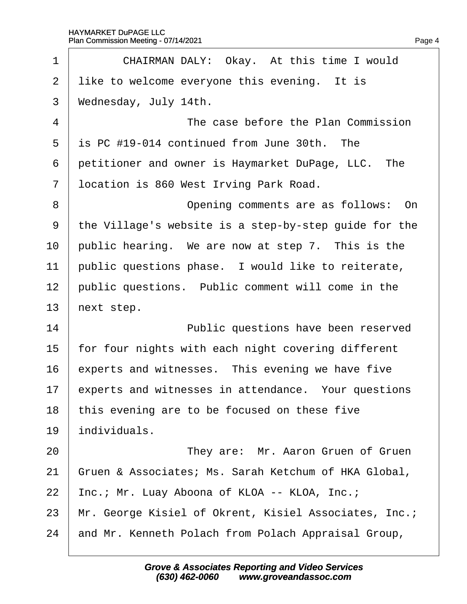<span id="page-4-0"></span>

| 1              | CHAIRMAN DALY: Okay. At this time I would             |
|----------------|-------------------------------------------------------|
| 2              | like to welcome everyone this evening. It is          |
| 3              | Wednesday, July 14th.                                 |
| $\overline{4}$ | The case before the Plan Commission                   |
| 5              | is PC #19-014 continued from June 30th. The           |
| 6              | petitioner and owner is Haymarket DuPage, LLC. The    |
| $\overline{7}$ | Ipcation is 860 West Irving Park Road.                |
| 8              | Opening comments are as follows: On                   |
| 9              | the Village's website is a step-by-step guide for the |
| 10             | public hearing. We are now at step 7. This is the     |
| 11             | public questions phase. I would like to reiterate,    |
| 12             | public questions. Public comment will come in the     |
| 13             | hext step.                                            |
| 14             | Public questions have been reserved                   |
| 15             | for four nights with each night covering different    |
| 16             | experts and witnesses. This evening we have five      |
| 17             | experts and witnesses in attendance. Your questions   |
| 18             | this evening are to be focused on these five          |
| 19             | individuals.                                          |
| 20             | They are: Mr. Aaron Gruen of Gruen                    |
| 21             | Gruen & Associates; Ms. Sarah Ketchum of HKA Global,  |
| 22             | Inc.; Mr. Luay Aboona of KLOA -- KLOA, Inc.;          |
| 23             | Mr. George Kisiel of Okrent, Kisiel Associates, Inc.; |
| 24             | and Mr. Kenneth Polach from Polach Appraisal Group,   |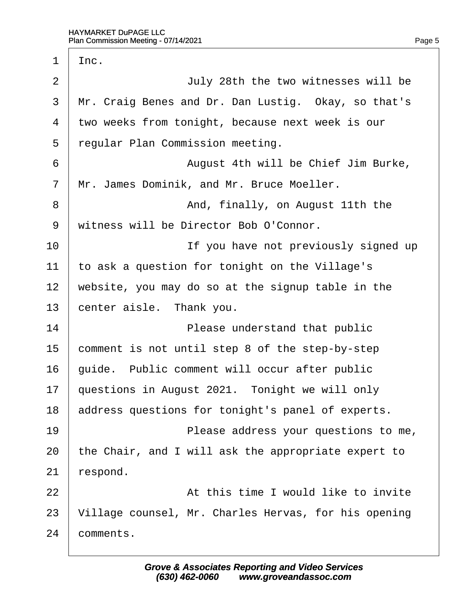$\sqrt{ }$ 

<span id="page-5-0"></span>

| 1              | Inc.                                                 |  |
|----------------|------------------------------------------------------|--|
| $\overline{2}$ | July 28th the two witnesses will be                  |  |
| 3              | Mr. Craig Benes and Dr. Dan Lustig. Okay, so that's  |  |
| 4              | two weeks from tonight, because next week is our     |  |
| 5              | regular Plan Commission meeting.                     |  |
| 6              | August 4th will be Chief Jim Burke,                  |  |
| $\overline{7}$ | Mr. James Dominik, and Mr. Bruce Moeller.            |  |
| 8              | And, finally, on August 11th the                     |  |
| 9              | witness will be Director Bob O'Connor.               |  |
| 10             | If you have not previously signed up                 |  |
| 11             | to ask a question for tonight on the Village's       |  |
| 12             | website, you may do so at the signup table in the    |  |
| 13             | center aisle. Thank you.                             |  |
| 14             | Please understand that public                        |  |
| 15             | comment is not until step 8 of the step-by-step      |  |
| 16             | guide. Public comment will occur after public        |  |
| 17             | questions in August 2021. Tonight we will only       |  |
| 18             | address questions for tonight's panel of experts.    |  |
| 19             | Please address your questions to me,                 |  |
| 20             | the Chair, and I will ask the appropriate expert to  |  |
| 21             | ∤espond.                                             |  |
| 22             | At this time I would like to invite                  |  |
| 23             | Village counsel, Mr. Charles Hervas, for his opening |  |
| 24             | comments.                                            |  |
|                |                                                      |  |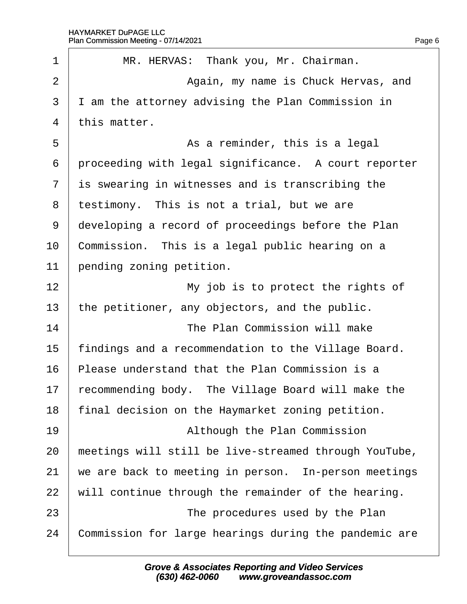$\Gamma$ 

<span id="page-6-0"></span>

| 1              | MR. HERVAS: Thank you, Mr. Chairman.                  |
|----------------|-------------------------------------------------------|
| 2              | Again, my name is Chuck Hervas, and                   |
| 3              | I am the attorney advising the Plan Commission in     |
| 4              | this matter.                                          |
| 5              | As a reminder, this is a legal                        |
| 6              | proceeding with legal significance. A court reporter  |
| $\overline{7}$ | is swearing in witnesses and is transcribing the      |
| 8              | testimony. This is not a trial, but we are            |
| 9              | developing a record of proceedings before the Plan    |
| 10             | Commission. This is a legal public hearing on a       |
| 11             | pending zoning petition.                              |
| 12             | My job is to protect the rights of                    |
| 13             | the petitioner, any objectors, and the public.        |
| 14             | The Plan Commission will make                         |
| 15             | findings and a recommendation to the Village Board.   |
| 16             | Please understand that the Plan Commission is a       |
| 17             | recommending body. The Village Board will make the    |
| 18             | final decision on the Haymarket zoning petition.      |
| 19             | Although the Plan Commission                          |
| 20             | meetings will still be live-streamed through YouTube, |
| 21             | we are back to meeting in person. In-person meetings  |
| 22             | will continue through the remainder of the hearing.   |
| 23             | The procedures used by the Plan                       |
| 24             | Commission for large hearings during the pandemic are |
|                |                                                       |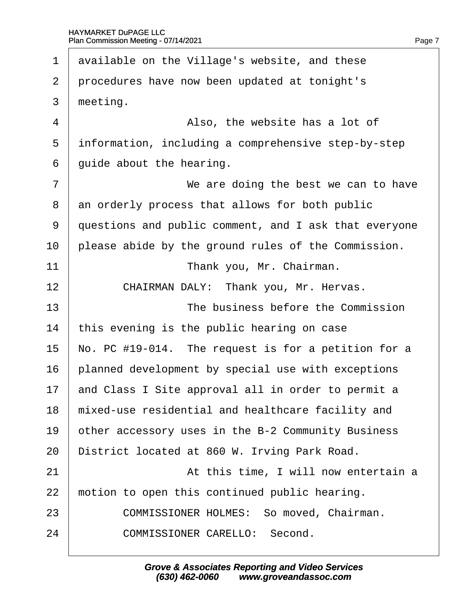<span id="page-7-0"></span>1 available on the Village's website, and these 2 procedures have now been updated at tonight's 3 meeting.  $4 \mid$  Also, the website has a lot of 5 information, including a comprehensive step-by-step 6 duide about the hearing. 7 **We are doing the best we can to have** 8 an orderly process that allows for both public 9 duestions and public comment, and I ask that everyone 10 please abide by the ground rules of the Commission. 11 **I** Thank you, Mr. Chairman. 12 | CHAIRMAN DALY: Thank you, Mr. Hervas. 13 **The business before the Commission** 14 this evening is the public hearing on case 15 No. PC #19-014. The request is for a petition for a 16 blanned development by special use with exceptions 17 and Class I Site approval all in order to permit a 18 mixed-use residential and healthcare facility and 19 bther accessory uses in the B-2 Community Business 20 District located at 860 W. Irving Park Road.  $21$   $\parallel$   $\parallel$  At this time, I will now entertain a 22 motion to open this continued public hearing. 23 **COMMISSIONER HOLMES: So moved, Chairman.** 24 COMMISSIONER CARELLO: Second.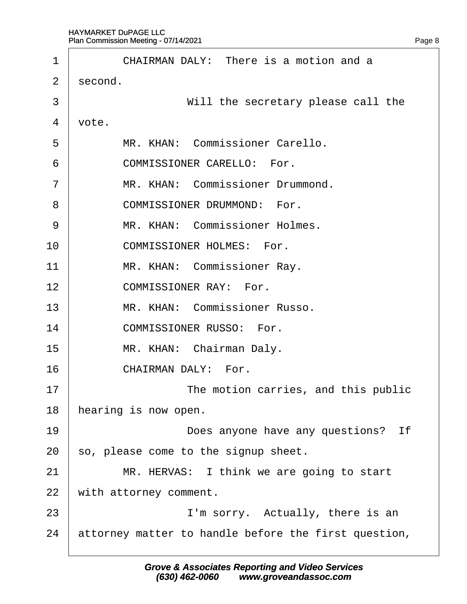<span id="page-8-0"></span>

| 1              | CHAIRMAN DALY: There is a motion and a               |
|----------------|------------------------------------------------------|
| 2              | second.                                              |
| 3              | Will the secretary please call the                   |
| 4              | vote.                                                |
| 5              | MR. KHAN: Commissioner Carello.                      |
| 6              | <b>COMMISSIONER CARELLO: For.</b>                    |
| $\overline{7}$ | MR. KHAN: Commissioner Drummond.                     |
| 8              | <b>COMMISSIONER DRUMMOND: For.</b>                   |
| 9              | MR. KHAN: Commissioner Holmes.                       |
| 10             | <b>COMMISSIONER HOLMES: For.</b>                     |
| 11             | MR. KHAN: Commissioner Ray.                          |
| 12             | <b>COMMISSIONER RAY: For.</b>                        |
| 13             | MR. KHAN: Commissioner Russo.                        |
| 14             | <b>COMMISSIONER RUSSO: For.</b>                      |
| 15             | MR. KHAN: Chairman Daly.                             |
| 16             | CHAIRMAN DALY: For.                                  |
| 17             | The motion carries, and this public                  |
| 18             | hearing is now open.                                 |
| 19             | Does anyone have any questions? If                   |
| 20             | so, please come to the signup sheet.                 |
| 21             | MR. HERVAS: I think we are going to start            |
| 22             | with attorney comment.                               |
| 23             | I'm sorry. Actually, there is an                     |
| 24             | attorney matter to handle before the first question, |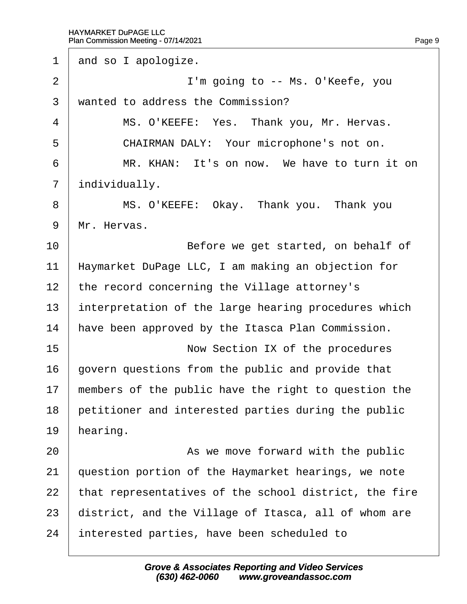<span id="page-9-0"></span>1 and so I apologize. 2 **I'm going to -- Ms. O'Keefe, you** 3 wanted to address the Commission? 4 | MS. O'KEEFE: Yes. Thank you, Mr. Hervas. 5 | CHAIRMAN DALY: Your microphone's not on. 6 **MR. KHAN: It's on now. We have to turn it on** 7 *individually.* 8 | MS. O'KEEFE: Okay. Thank you. Thank you 9 Mr. Hervas. 10 **Before we get started, on behalf of** 11 Haymarket DuPage LLC, I am making an objection for 12 the record concerning the Village attorney's 13 interpretation of the large hearing procedures which 14 have been approved by the Itasca Plan Commission. 15 **Now Section IX of the procedures** 16 dovern questions from the public and provide that 17 members of the public have the right to question the 18 petitioner and interested parties during the public 19 hearing. 20 As we move forward with the public 21 guestion portion of the Haymarket hearings, we note 22 that representatives of the school district, the fire 23 district, and the Village of Itasca, all of whom are 24 interested parties, have been scheduled to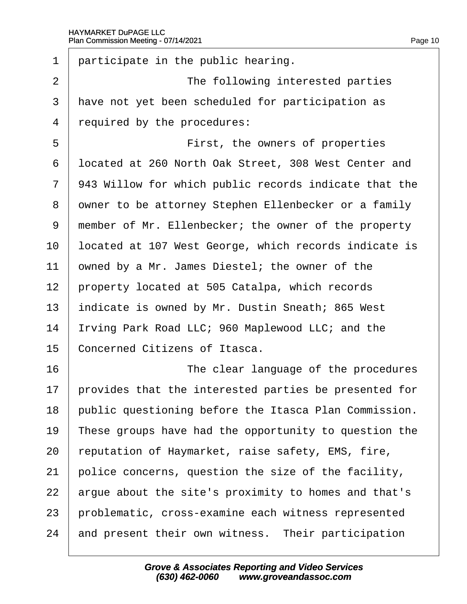<span id="page-10-0"></span>

| 1              | participate in the public hearing.                    |
|----------------|-------------------------------------------------------|
| $\overline{2}$ | The following interested parties                      |
| 3              | have not yet been scheduled for participation as      |
| 4              | required by the procedures:                           |
| 5              | First, the owners of properties                       |
| 6              | Ipcated at 260 North Oak Street, 308 West Center and  |
| $\overline{7}$ | 943 Willow for which public records indicate that the |
| 8              | dwner to be attorney Stephen Ellenbecker or a family  |
| 9              | member of Mr. Ellenbecker; the owner of the property  |
| 10             | located at 107 West George, which records indicate is |
| 11             | owned by a Mr. James Diestel; the owner of the        |
| 12             | property located at 505 Catalpa, which records        |
| 13             | indicate is owned by Mr. Dustin Sneath; 865 West      |
| 14             | rving Park Road LLC; 960 Maplewood LLC; and the       |
| 15             | Concerned Citizens of Itasca.                         |
| 16             | The clear language of the procedures                  |
| 17             | provides that the interested parties be presented for |
| 18             | public questioning before the Itasca Plan Commission. |
| 19             | These groups have had the opportunity to question the |
| 20             | reputation of Haymarket, raise safety, EMS, fire,     |
| 21             | police concerns, question the size of the facility,   |
| 22             | argue about the site's proximity to homes and that's  |
| 23             | problematic, cross-examine each witness represented   |
| 24             | and present their own witness. Their participation    |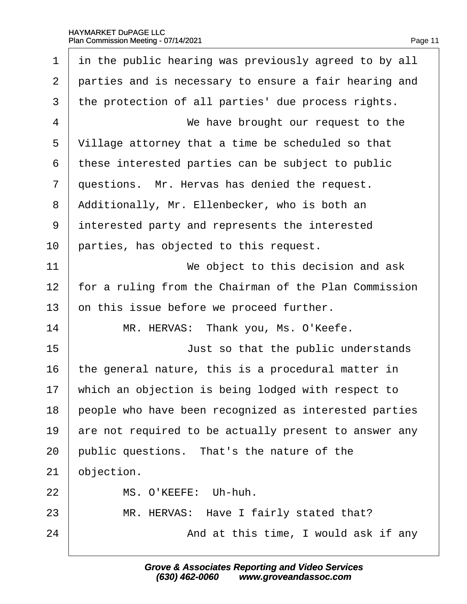<span id="page-11-0"></span>

| $\mathbf 1$    | in the public hearing was previously agreed to by all |
|----------------|-------------------------------------------------------|
| $\overline{2}$ | parties and is necessary to ensure a fair hearing and |
| 3              | the protection of all parties' due process rights.    |
| 4              | We have brought our request to the                    |
| 5              | Village attorney that a time be scheduled so that     |
| 6              | these interested parties can be subject to public     |
| $\overline{7}$ | questions. Mr. Hervas has denied the request.         |
| 8              | Additionally, Mr. Ellenbecker, who is both an         |
| 9              | interested party and represents the interested        |
| 10             | parties, has objected to this request.                |
| 11             | We object to this decision and ask                    |
| 12             | for a ruling from the Chairman of the Plan Commission |
| 13             | on this issue before we proceed further.              |
| 14             | MR. HERVAS: Thank you, Ms. O'Keefe.                   |
| 15             | Just so that the public understands                   |
| 16             | the general nature, this is a procedural matter in    |
| 17             | which an objection is being lodged with respect to    |
| 18             | people who have been recognized as interested parties |
| 19             | are not required to be actually present to answer any |
| 20             | public questions. That's the nature of the            |
| 21             | objection.                                            |
| 22             | MS. O'KEEFE: Uh-huh.                                  |
| 23             | MR. HERVAS: Have I fairly stated that?                |
| 24             | And at this time, I would ask if any                  |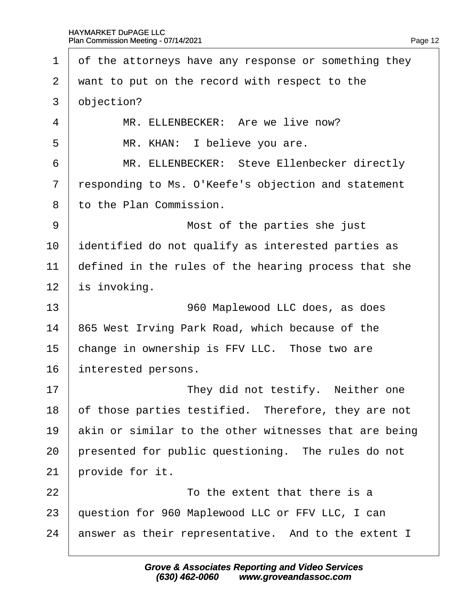<span id="page-12-0"></span>

| 1              | of the attorneys have any response or something they  |
|----------------|-------------------------------------------------------|
| 2              | want to put on the record with respect to the         |
| 3              | objection?                                            |
| $\overline{4}$ | MR. ELLENBECKER: Are we live now?                     |
| 5              | MR. KHAN: I believe you are.                          |
| 6              | MR. ELLENBECKER: Steve Ellenbecker directly           |
| $\overline{7}$ | responding to Ms. O'Keefe's objection and statement   |
| 8              | to the Plan Commission.                               |
| 9              | Most of the parties she just                          |
| 10             | dentified do not qualify as interested parties as     |
| 11             | defined in the rules of the hearing process that she  |
| 12             | s invoking.                                           |
| 13             | 960 Maplewood LLC does, as does                       |
| 14             | 865 West Irving Park Road, which because of the       |
| 15             | change in ownership is FFV LLC. Those two are         |
| 16             | interested persons.                                   |
| 17             | They did not testify. Neither one                     |
| 18             | of those parties testified. Therefore, they are not   |
| 19             | akin or similar to the other witnesses that are being |
| 20             | presented for public questioning. The rules do not    |
| 21             | provide for it.                                       |
| 22             | To the extent that there is a                         |
| 23             | question for 960 Maplewood LLC or FFV LLC, I can      |
| 24             | answer as their representative. And to the extent I   |
|                |                                                       |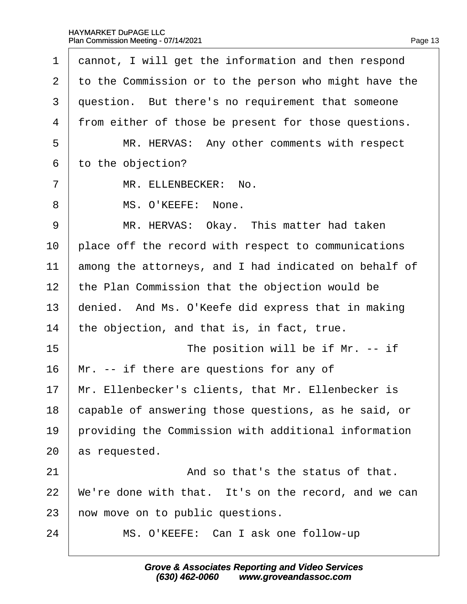#### HAYMARKET DuPAGE LLC Plan Commission Meeting - 07/14/2021  $\mathbf{r}$

<span id="page-13-0"></span>

| 1              | dannot, I will get the information and then respond   |
|----------------|-------------------------------------------------------|
| $\overline{2}$ | to the Commission or to the person who might have the |
| 3              | question. But there's no requirement that someone     |
| 4              | from either of those be present for those questions.  |
| 5              | MR. HERVAS: Any other comments with respect           |
| 6              | to the objection?                                     |
| 7              | MR. ELLENBECKER: No.                                  |
| 8              | MS. O'KEEFE: None.                                    |
| 9              | MR. HERVAS: Okay. This matter had taken               |
| 10             | place off the record with respect to communications   |
| 11             | among the attorneys, and I had indicated on behalf of |
| 12             | the Plan Commission that the objection would be       |
| 13             | denied. And Ms. O'Keefe did express that in making    |
| 14             | the objection, and that is, in fact, true.            |
| 15             | The position will be if Mr. -- if                     |
| 16             | Mr. -- if there are questions for any of              |
| 17             | Mr. Ellenbecker's clients, that Mr. Ellenbecker is    |
| 18             | capable of answering those questions, as he said, or  |
| 19             | providing the Commission with additional information  |
| 20             | as requested.                                         |
| 21             | And so that's the status of that.                     |
| 22             | We're done with that. It's on the record, and we can  |
| 23             | how move on to public questions.                      |
| 24             | MS. O'KEEFE: Can I ask one follow-up                  |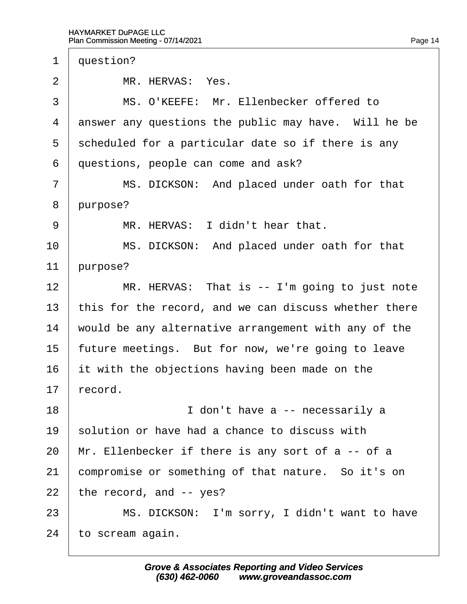<span id="page-14-0"></span>

| 1              | question?                                             |
|----------------|-------------------------------------------------------|
| $\overline{2}$ | MR. HERVAS: Yes.                                      |
| 3              | MS. O'KEEFE: Mr. Ellenbecker offered to               |
| 4              | answer any questions the public may have. Will he be  |
| 5              | scheduled for a particular date so if there is any    |
| 6              | questions, people can come and ask?                   |
| $\overline{7}$ | MS. DICKSON: And placed under oath for that           |
| 8              | purpose?                                              |
| 9              | MR. HERVAS: I didn't hear that.                       |
| 10             | MS. DICKSON: And placed under oath for that           |
| 11             | purpose?                                              |
| 12             | MR. HERVAS: That is -- I'm going to just note         |
| 13             | this for the record, and we can discuss whether there |
| 14             | would be any alternative arrangement with any of the  |
| 15             | future meetings. But for now, we're going to leave    |
| 16             | it with the objections having been made on the        |
| 17             | ecord.                                                |
| 18             | I don't have a -- necessarily a                       |
| 19             | solution or have had a chance to discuss with         |
| 20             | Mr. Ellenbecker if there is any sort of a -- of a     |
| 21             | compromise or something of that nature. So it's on    |
| 22             | the record, and -- yes?                               |
| 23             | MS. DICKSON: I'm sorry, I didn't want to have         |
| 24             | to scream again.                                      |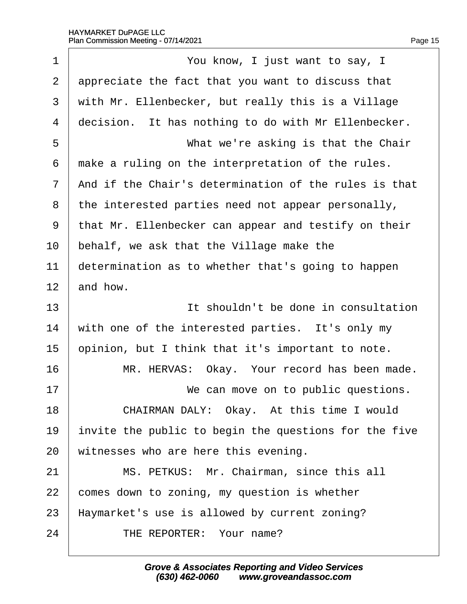<span id="page-15-0"></span>

| 1              | You know, I just want to say, I                       |
|----------------|-------------------------------------------------------|
| $\overline{2}$ | appreciate the fact that you want to discuss that     |
| 3              | with Mr. Ellenbecker, but really this is a Village    |
| 4              | decision. It has nothing to do with Mr Ellenbecker.   |
| 5              | What we're asking is that the Chair                   |
| 6              | make a ruling on the interpretation of the rules.     |
| 7              | And if the Chair's determination of the rules is that |
| 8              | the interested parties need not appear personally,    |
| 9              | that Mr. Ellenbecker can appear and testify on their  |
| 10             | behalf, we ask that the Village make the              |
| 11             | determination as to whether that's going to happen    |
| 12             | and how.                                              |
| 13             | It shouldn't be done in consultation                  |
| 14             | with one of the interested parties. It's only my      |
| 15             | opinion, but I think that it's important to note.     |
| 16             | MR. HERVAS: Okay. Your record has been made.          |
| 17             | We can move on to public questions.                   |
| 18             | CHAIRMAN DALY: Okay. At this time I would             |
| 19             | invite the public to begin the questions for the five |
| 20             | witnesses who are here this evening.                  |
| 21             | MS. PETKUS: Mr. Chairman, since this all              |
| 22             | comes down to zoning, my question is whether          |
| 23             | Haymarket's use is allowed by current zoning?         |
| 24             | THE REPORTER: Your name?                              |
|                |                                                       |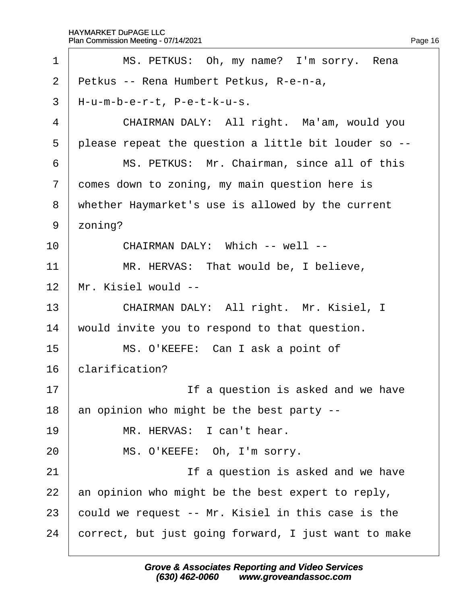<span id="page-16-0"></span>

| 1              | MS. PETKUS: Oh, my name? I'm sorry. Rena             |
|----------------|------------------------------------------------------|
| $\overline{2}$ | Petkus -- Rena Humbert Petkus, R-e-n-a,              |
| 3              | H-u-m-b-e-r-t, P-e-t-k-u-s.                          |
| $\overline{4}$ | CHAIRMAN DALY: All right. Ma'am, would you           |
| 5              | please repeat the question a little bit louder so -- |
| 6              | MS. PETKUS: Mr. Chairman, since all of this          |
| $\overline{7}$ | domes down to zoning, my main question here is       |
| 8              | whether Haymarket's use is allowed by the current    |
| 9              | zoning?                                              |
| 10             | CHAIRMAN DALY: Which -- well --                      |
| 11             | MR. HERVAS: That would be, I believe,                |
| 12             | Mr. Kisiel would --                                  |
| 13             | CHAIRMAN DALY: All right. Mr. Kisiel, I              |
| 14             | would invite you to respond to that question.        |
| 15             | MS. O'KEEFE: Can I ask a point of                    |
| 16             | clarification?                                       |
| 17             | If a question is asked and we have                   |
| 18             | an opinion who might be the best party --            |
| 19             | MR. HERVAS: I can't hear.                            |
| 20             | MS. O'KEEFE: Oh, I'm sorry.                          |
| 21             | If a question is asked and we have                   |
| 22             | an opinion who might be the best expert to reply,    |
| 23             | could we request -- Mr. Kisiel in this case is the   |
| 24             | correct, but just going forward, I just want to make |
|                |                                                      |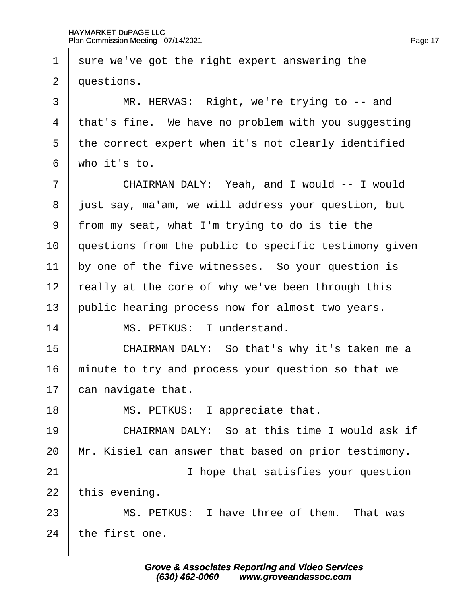<span id="page-17-0"></span>1 sure we've got the right expert answering the 2 duestions. 3 | MR. HERVAS: Right, we're trying to -- and 4 that's fine. We have no problem with you suggesting 5 the correct expert when it's not clearly identified 6 who it's to. 7 | CHAIRMAN DALY: Yeah, and I would -- I would 8 just say, ma'am, we will address your question, but ·9· ·from my seat, what I'm trying to do is tie the 10 questions from the public to specific testimony given 11 by one of the five witnesses. So your question is 12 really at the core of why we've been through this 13 public hearing process now for almost two years. 14 | MS. PETKUS: I understand. 15 **CHAIRMAN DALY: So that's why it's taken me a** 16 minute to try and process your question so that we 17  $\,$  can navigate that. 18 | MS. PETKUS: I appreciate that. 19 **CHAIRMAN DALY:** So at this time I would ask if 20 Mr. Kisiel can answer that based on prior testimony. 21 **I** hope that satisfies your question 22 this evening. 23 | MS. PETKUS: I have three of them. That was 24 the first one.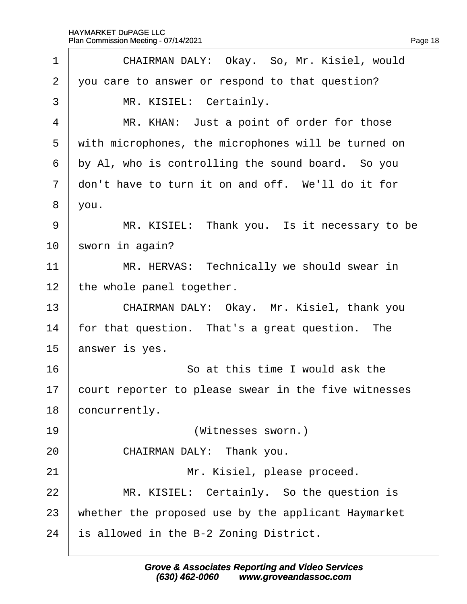<span id="page-18-0"></span>

| 1              | CHAIRMAN DALY: Okay. So, Mr. Kisiel, would           |  |  |  |  |  |
|----------------|------------------------------------------------------|--|--|--|--|--|
| $\overline{2}$ | you care to answer or respond to that question?      |  |  |  |  |  |
| 3              | MR. KISIEL: Certainly.                               |  |  |  |  |  |
| 4              | MR. KHAN: Just a point of order for those            |  |  |  |  |  |
| 5              | with microphones, the microphones will be turned on  |  |  |  |  |  |
| 6              | by AI, who is controlling the sound board. So you    |  |  |  |  |  |
| $\overline{7}$ | don't have to turn it on and off. We'll do it for    |  |  |  |  |  |
| 8              | you.                                                 |  |  |  |  |  |
| 9              | MR. KISIEL: Thank you. Is it necessary to be         |  |  |  |  |  |
| 10             | sworn in again?                                      |  |  |  |  |  |
| 11             | MR. HERVAS: Technically we should swear in           |  |  |  |  |  |
| 12             | the whole panel together.                            |  |  |  |  |  |
| 13             | CHAIRMAN DALY: Okay. Mr. Kisiel, thank you           |  |  |  |  |  |
| 14             | for that question. That's a great question. The      |  |  |  |  |  |
| 15             | answer is yes.                                       |  |  |  |  |  |
| 16             | So at this time I would ask the                      |  |  |  |  |  |
| 17             | court reporter to please swear in the five witnesses |  |  |  |  |  |
| 18             | concurrently.                                        |  |  |  |  |  |
| 19             | (Witnesses sworn.)                                   |  |  |  |  |  |
| 20             | CHAIRMAN DALY: Thank you.                            |  |  |  |  |  |
| 21             | Mr. Kisiel, please proceed.                          |  |  |  |  |  |
| 22             | MR. KISIEL: Certainly. So the question is            |  |  |  |  |  |
| 23             | whether the proposed use by the applicant Haymarket  |  |  |  |  |  |
| 24             | is allowed in the B-2 Zoning District.               |  |  |  |  |  |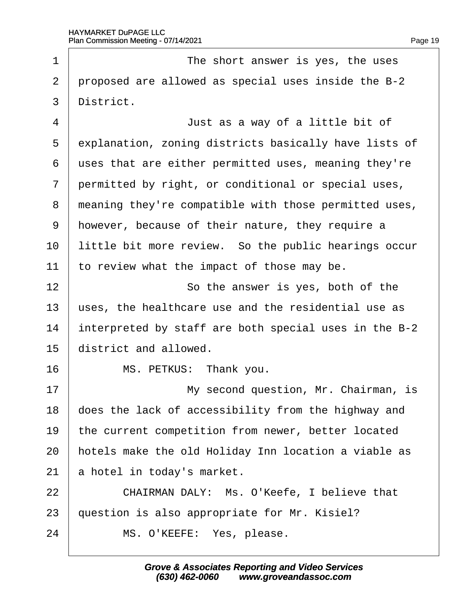<span id="page-19-0"></span>

| 1              | The short answer is yes, the uses                     |  |  |  |  |  |
|----------------|-------------------------------------------------------|--|--|--|--|--|
| $\overline{2}$ | proposed are allowed as special uses inside the B-2   |  |  |  |  |  |
| 3              | District.                                             |  |  |  |  |  |
| $\overline{4}$ | Just as a way of a little bit of                      |  |  |  |  |  |
| 5              | explanation, zoning districts basically have lists of |  |  |  |  |  |
| 6              | uses that are either permitted uses, meaning they're  |  |  |  |  |  |
| 7              | permitted by right, or conditional or special uses,   |  |  |  |  |  |
| 8              | meaning they're compatible with those permitted uses, |  |  |  |  |  |
| 9              | however, because of their nature, they require a      |  |  |  |  |  |
| 10             | little bit more review. So the public hearings occur  |  |  |  |  |  |
| 11             | to review what the impact of those may be.            |  |  |  |  |  |
| 12             | So the answer is yes, both of the                     |  |  |  |  |  |
| 13             | uses, the healthcare use and the residential use as   |  |  |  |  |  |
| 14             | interpreted by staff are both special uses in the B-2 |  |  |  |  |  |
| 15             | district and allowed.                                 |  |  |  |  |  |
| 16             | MS. PETKUS: Thank you.                                |  |  |  |  |  |
| 17             | My second question, Mr. Chairman, is                  |  |  |  |  |  |
| 18             | does the lack of accessibility from the highway and   |  |  |  |  |  |
| 19             | the current competition from newer, better located    |  |  |  |  |  |
| 20             | hotels make the old Holiday Inn location a viable as  |  |  |  |  |  |
| 21             | a hotel in today's market.                            |  |  |  |  |  |
| 22             | CHAIRMAN DALY: Ms. O'Keefe, I believe that            |  |  |  |  |  |
| 23             | question is also appropriate for Mr. Kisiel?          |  |  |  |  |  |
| 24             | MS. O'KEEFE: Yes, please.                             |  |  |  |  |  |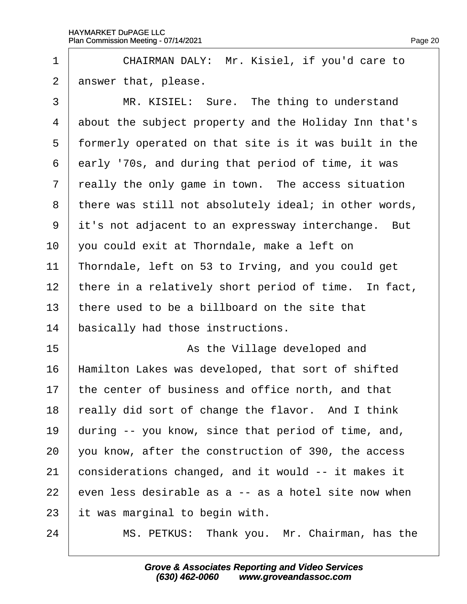$\Gamma$ 

<span id="page-20-0"></span>

| 1              | CHAIRMAN DALY: Mr. Kisiel, if you'd care to           |  |  |  |  |  |
|----------------|-------------------------------------------------------|--|--|--|--|--|
| $\overline{2}$ | answer that, please.                                  |  |  |  |  |  |
| 3              | MR. KISIEL: Sure. The thing to understand             |  |  |  |  |  |
| 4              | about the subject property and the Holiday Inn that's |  |  |  |  |  |
| 5              | formerly operated on that site is it was built in the |  |  |  |  |  |
| 6              | early '70s, and during that period of time, it was    |  |  |  |  |  |
| 7              | really the only game in town. The access situation    |  |  |  |  |  |
| 8              | there was still not absolutely ideal; in other words, |  |  |  |  |  |
| 9              | it's not adjacent to an expressway interchange. But   |  |  |  |  |  |
| 10             | you could exit at Thorndale, make a left on           |  |  |  |  |  |
| 11             | Thorndale, left on 53 to Irving, and you could get    |  |  |  |  |  |
| 12             | there in a relatively short period of time. In fact,  |  |  |  |  |  |
| 13             | there used to be a billboard on the site that         |  |  |  |  |  |
| 14             | basically had those instructions.                     |  |  |  |  |  |
| 15             | As the Village developed and                          |  |  |  |  |  |
| 16             | Hamilton Lakes was developed, that sort of shifted    |  |  |  |  |  |
| 17             | the center of business and office north, and that     |  |  |  |  |  |
| 18             | really did sort of change the flavor. And I think     |  |  |  |  |  |
| 19             | during -- you know, since that period of time, and,   |  |  |  |  |  |
| 20             | you know, after the construction of 390, the access   |  |  |  |  |  |
| 21             | considerations changed, and it would -- it makes it   |  |  |  |  |  |
| 22             | even less desirable as a -- as a hotel site now when  |  |  |  |  |  |
| 23             | it was marginal to begin with.                        |  |  |  |  |  |
| 24             | MS. PETKUS: Thank you. Mr. Chairman, has the          |  |  |  |  |  |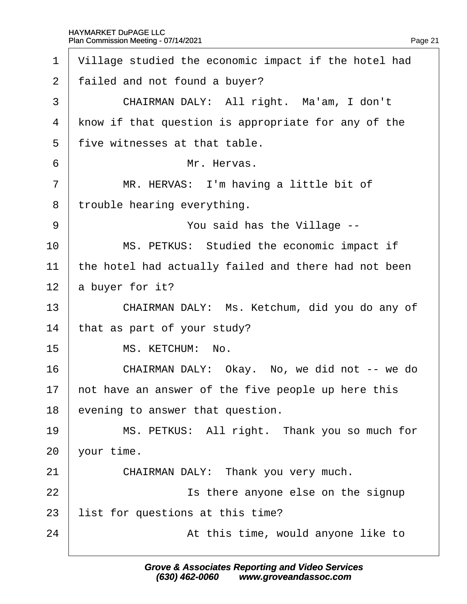$\Gamma$ 

<span id="page-21-0"></span>

| 1              | Village studied the economic impact if the hotel had |  |  |  |  |  |
|----------------|------------------------------------------------------|--|--|--|--|--|
| $\overline{2}$ | failed and not found a buyer?                        |  |  |  |  |  |
| 3              | CHAIRMAN DALY: All right. Ma'am, I don't             |  |  |  |  |  |
| 4              | know if that question is appropriate for any of the  |  |  |  |  |  |
| 5              | five witnesses at that table.                        |  |  |  |  |  |
| 6              | Mr. Hervas.                                          |  |  |  |  |  |
| $\overline{7}$ | MR. HERVAS: I'm having a little bit of               |  |  |  |  |  |
| 8              | trouble hearing everything.                          |  |  |  |  |  |
| 9              | You said has the Village --                          |  |  |  |  |  |
| 10             | MS. PETKUS: Studied the economic impact if           |  |  |  |  |  |
| 11             | the hotel had actually failed and there had not been |  |  |  |  |  |
| 12             | a buyer for it?                                      |  |  |  |  |  |
| 13             | CHAIRMAN DALY: Ms. Ketchum, did you do any of        |  |  |  |  |  |
| 14             | that as part of your study?                          |  |  |  |  |  |
| 15             | MS. KETCHUM: No.                                     |  |  |  |  |  |
| 16             | CHAIRMAN DALY: Okay. No, we did not -- we do         |  |  |  |  |  |
| 17             | not have an answer of the five people up here this   |  |  |  |  |  |
| 18             | evening to answer that question.                     |  |  |  |  |  |
| 19             | MS. PETKUS: All right. Thank you so much for         |  |  |  |  |  |
| 20             | your time.                                           |  |  |  |  |  |
| 21             | CHAIRMAN DALY: Thank you very much.                  |  |  |  |  |  |
| 22             | Is there anyone else on the signup                   |  |  |  |  |  |
| 23             | list for questions at this time?                     |  |  |  |  |  |
| 24             | At this time, would anyone like to                   |  |  |  |  |  |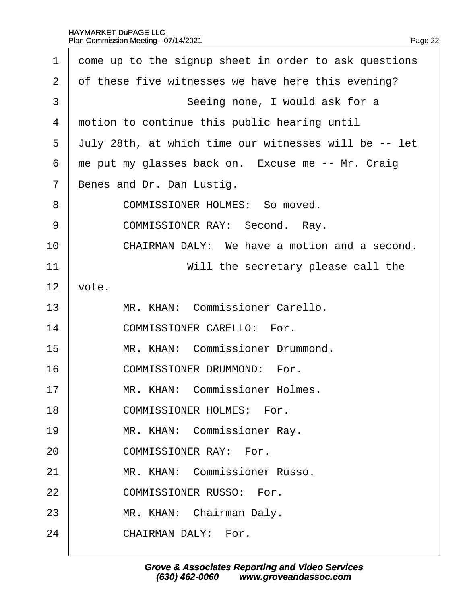#### HAYMARKET DuPAGE LLC Plan Commission Meeting - 07/14/2021  $\mathbf{r}$

<span id="page-22-0"></span>

| 1              | dome up to the signup sheet in order to ask questions |  |  |  |  |  |
|----------------|-------------------------------------------------------|--|--|--|--|--|
| 2              | of these five witnesses we have here this evening?    |  |  |  |  |  |
| 3              | Seeing none, I would ask for a                        |  |  |  |  |  |
| 4              | motion to continue this public hearing until          |  |  |  |  |  |
| 5              | July 28th, at which time our witnesses will be -- let |  |  |  |  |  |
| 6              | the put my glasses back on. Excuse me -- Mr. Craig    |  |  |  |  |  |
| $\overline{7}$ | Benes and Dr. Dan Lustig.                             |  |  |  |  |  |
| 8              | <b>COMMISSIONER HOLMES: So moved.</b>                 |  |  |  |  |  |
| 9              | <b>COMMISSIONER RAY: Second. Ray.</b>                 |  |  |  |  |  |
| 10             | CHAIRMAN DALY: We have a motion and a second.         |  |  |  |  |  |
| 11             | Will the secretary please call the                    |  |  |  |  |  |
| 12             | vote.                                                 |  |  |  |  |  |
| 13             | MR. KHAN: Commissioner Carello.                       |  |  |  |  |  |
| 14             | <b>COMMISSIONER CARELLO: For.</b>                     |  |  |  |  |  |
| 15             | MR. KHAN: Commissioner Drummond.                      |  |  |  |  |  |
| 16             | <b>COMMISSIONER DRUMMOND: For.</b>                    |  |  |  |  |  |
| 17             | MR. KHAN: Commissioner Holmes.                        |  |  |  |  |  |
| 18             | <b>COMMISSIONER HOLMES: For.</b>                      |  |  |  |  |  |
| 19             | MR. KHAN: Commissioner Ray.                           |  |  |  |  |  |
| 20             | <b>COMMISSIONER RAY: For.</b>                         |  |  |  |  |  |
| 21             | MR. KHAN: Commissioner Russo.                         |  |  |  |  |  |
| 22             | <b>COMMISSIONER RUSSO: For.</b>                       |  |  |  |  |  |
| 23             | MR. KHAN: Chairman Daly.                              |  |  |  |  |  |
| 24             | CHAIRMAN DALY: For.                                   |  |  |  |  |  |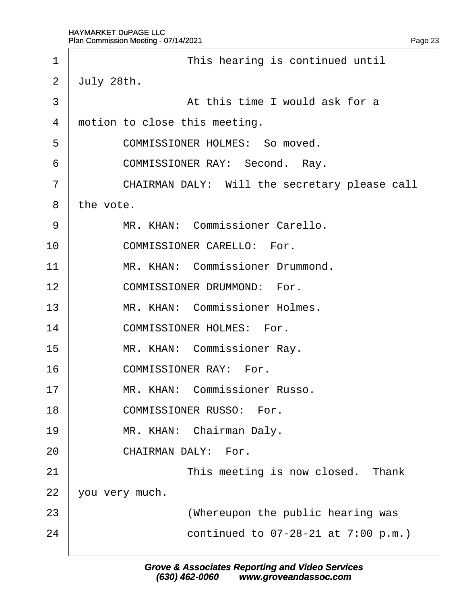<span id="page-23-0"></span>

| 1              | This hearing is continued until               |  |  |  |  |
|----------------|-----------------------------------------------|--|--|--|--|
| $\overline{2}$ | July 28th.                                    |  |  |  |  |
| 3              | At this time I would ask for a                |  |  |  |  |
| 4              | motion to close this meeting.                 |  |  |  |  |
| 5              | <b>COMMISSIONER HOLMES: So moved.</b>         |  |  |  |  |
| 6              | <b>COMMISSIONER RAY: Second. Ray.</b>         |  |  |  |  |
| 7              | CHAIRMAN DALY: Will the secretary please call |  |  |  |  |
| 8              | the vote.                                     |  |  |  |  |
| 9              | MR. KHAN: Commissioner Carello.               |  |  |  |  |
| 10             | <b>COMMISSIONER CARELLO: For.</b>             |  |  |  |  |
| 11             | MR. KHAN: Commissioner Drummond.              |  |  |  |  |
| 12             | <b>COMMISSIONER DRUMMOND: For.</b>            |  |  |  |  |
| 13             | MR. KHAN: Commissioner Holmes.                |  |  |  |  |
| 14             | <b>COMMISSIONER HOLMES: For.</b>              |  |  |  |  |
| 15             | MR. KHAN: Commissioner Ray.                   |  |  |  |  |
| 16             | <b>COMMISSIONER RAY: For.</b>                 |  |  |  |  |
| 17             | MR. KHAN: Commissioner Russo.                 |  |  |  |  |
| 18             | <b>COMMISSIONER RUSSO: For.</b>               |  |  |  |  |
| 19             | MR. KHAN: Chairman Daly.                      |  |  |  |  |
| 20             | CHAIRMAN DALY: For.                           |  |  |  |  |
| 21             | This meeting is now closed. Thank             |  |  |  |  |
| 22             | you very much.                                |  |  |  |  |
| 23             | (Whereupon the public hearing was             |  |  |  |  |
| 24             | continued to 07-28-21 at 7:00 p.m.)           |  |  |  |  |
|                |                                               |  |  |  |  |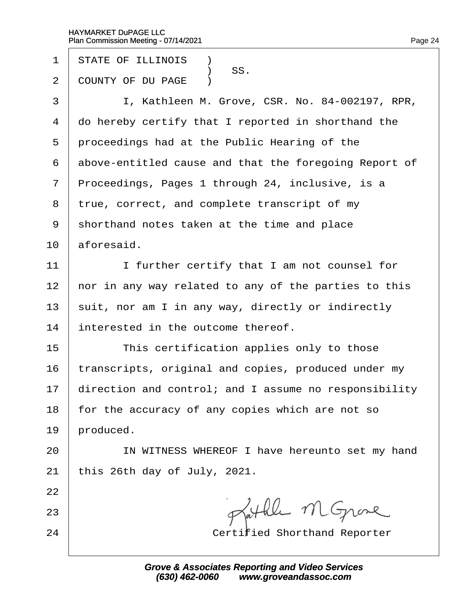- 1 STATE OF ILLINOIS **1**
- SS.<br>2 COUNTY OF DU I COUNTY OF DU PAGE )
- 3 | I, Kathleen M. Grove, CSR. No. 84-002197, RPR,
- 4 do hereby certify that I reported in shorthand the
- 5 proceedings had at the Public Hearing of the
- 6 above-entitled cause and that the foregoing Report of
- 7 Proceedings, Pages 1 through 24, inclusive, is a
- 8 true, correct, and complete transcript of my
- 9 shorthand notes taken at the time and place
- $10$  aforesaid.
- 11 | I further certify that I am not counsel for
- 12 hor in any way related to any of the parties to this
- 13 suit, nor am I in any way, directly or indirectly
- 14 interested in the outcome thereof.
- 15 **This certification applies only to those**
- 16 transcripts, original and copies, produced under my
- 17 direction and control; and I assume no responsibility
- 18 for the accuracy of any copies which are not so
- 19 broduced.
- 20 | IN WITNESS WHEREOF I have hereunto set my hand
- 21  $\frac{1}{2}$  this 26th day of July, 2021.
- 22
- 23
- 
- 24 **Certified Shorthand Reporter**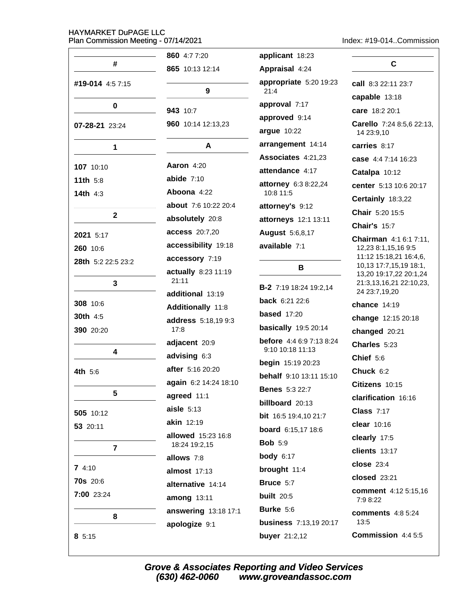Index: #19-014..Commission

|                    | 860 4:7 7:20                | applicant 18:23                 |                                                  |
|--------------------|-----------------------------|---------------------------------|--------------------------------------------------|
| #                  | 865 10:13 12:14             | Appraisal 4:24                  | C                                                |
| #19-014 4:57:15    |                             | appropriate 5:20 19:23          | call 8:3 22:11 23:7                              |
|                    | 9                           | 21:4                            | capable 13:18                                    |
| 0                  | 943 10:7                    | approval 7:17                   | care 18:2 20:1                                   |
| 07-28-21 23:24     | 960 10:14 12:13,23          | approved 9:14<br>argue 10:22    | Carello 7:24 8:5,6 22:13,<br>14 23:9,10          |
| 1                  | A                           | arrangement 14:14               | carries 8:17                                     |
|                    |                             | Associates 4:21,23              | case 4:4 7:14 16:23                              |
| 107 10:10          | <b>Aaron 4:20</b>           | attendance 4:17                 | Catalpa 10:12                                    |
| 11th $5:8$         | abide $7:10$                | attorney 6:3 8:22,24            | center 5:13 10:6 20:17                           |
| 14th $4:3$         | Aboona 4:22                 | 10:8 11:5                       | Certainly 18:3,22                                |
| $\mathbf{2}$       | about 7:6 10:22 20:4        | attorney's 9:12                 | Chair 5:20 15:5                                  |
|                    | absolutely 20:8             | attorneys 12:1 13:11            | <b>Chair's 15:7</b>                              |
| 2021 5:17          | <b>access</b> 20:7,20       | <b>August 5:6,8,17</b>          | <b>Chairman</b> 4:1 6:1 7:11,                    |
| 260 10:6           | accessibility 19:18         | available 7:1                   | 12,23 8:1,15,16 9:5                              |
| 28th 5:2 22:5 23:2 | accessory 7:19              |                                 | 11:12 15:18,21 16:4,6,<br>10,13 17:7,15,19 18:1, |
|                    | actually 8:23 11:19         | в                               | 13,20 19:17,22 20:1,24                           |
| $\mathbf{3}$       | 21:11<br>additional 13:19   | <b>B-2</b> 7:19 18:24 19:2,14   | 21:3,13,16,21 22:10,23,<br>24 23:7,19,20         |
| 308 10:6           | Additionally 11:8           | <b>back</b> $6:21$ 22:6         | chance 14:19                                     |
| <b>30th</b> 4:5    |                             | <b>based</b> 17:20              | change 12:15 20:18                               |
| 390 20:20          | address 5:18,19 9:3<br>17:8 | <b>basically</b> 19:5 20:14     | changed 20:21                                    |
|                    | adjacent 20:9               | <b>before</b> 4:4 6:9 7:13 8:24 | Charles 5:23                                     |
| 4                  | advising 6:3                | 9:10 10:18 11:13                | Chief 5:6                                        |
| 4th 5:6            | after 5:16 20:20            | <b>begin</b> 15:19 20:23        | Chuck 6:2                                        |
|                    | again 6:2 14:24 18:10       | behalf 9:10 13:11 15:10         | Citizens 10:15                                   |
| 5                  | agreed 11:1                 | <b>Benes</b> 5:3 22:7           | clarification 16:16                              |
|                    | $aisle$ 5:13                | billboard 20:13                 | <b>Class 7:17</b>                                |
| 505 10:12          | akin 12:19                  | bit 16:5 19:4,10 21:7           | clear 10:16                                      |
| 53 20:11           | allowed 15:23 16:8          | board 6:15,17 18:6              | clearly 17:5                                     |
| $\overline{7}$     | 18:24 19:2,15               | <b>Bob 5:9</b>                  | clients 13:17                                    |
|                    | allows 7:8                  | <b>body</b> 6:17                |                                                  |
| 74:10              | almost 17:13                | brought 11:4                    | <b>close</b> 23:4                                |
| <b>70s</b> 20:6    | alternative 14:14           | Bruce 5:7                       | closed 23:21                                     |
| 7:00 23:24         | among 13:11                 | <b>built</b> 20:5               | comment 4:12 5:15,16<br>7:9 8:22                 |
| 8                  | answering 13:18 17:1        | Burke 5:6                       | <b>comments</b> 4:8 5:24                         |
|                    | apologize 9:1               | <b>business</b> 7:13,19 20:17   | 13:5                                             |
| 85:15              |                             | <b>buyer</b> 21:2,12            | Commission 4:4 5:5                               |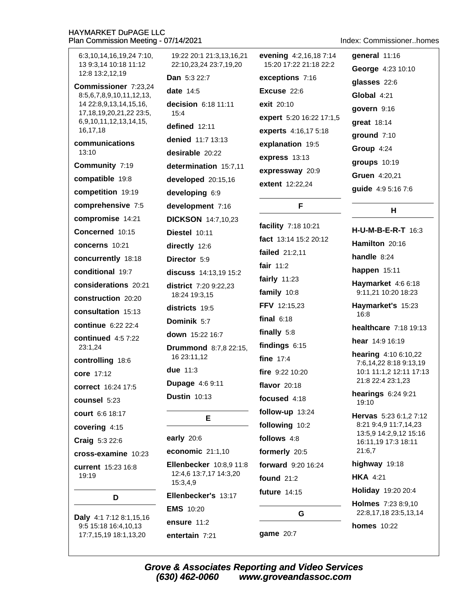19:22 20:1 21:3.13.16.21 evening 4:2,16,187:14 general 11:16 6:3,10,14,16,19,24 7:10, 13 9:3.14 10:18 11:12 22:10,23,24 23:7,19,20 15:20 17:22 21:18 22:2 George 4:23 10:10 12:8 13:2.12.19 Dan 5:3 22:7 exceptions 7:16 glasses 22:6 Commissioner 7:23,24 date  $14:5$ Excuse 22:6 8:5,6,7,8,9,10,11,12,13, Global 4:21 14 22:8,9,13,14,15,16, decision 6:18 11:11 exit 20:10 govern 9:16 17, 18, 19, 20, 21, 22 23: 5,  $15:4$ expert 5:20 16:22 17:1,5 6,9,10,11,12,13,14,15, great 18:14 defined 12:11 16,17,18 experts 4:16,17 5:18 ground 7:10 denied 11:7 13:13 communications explanation 19:5 Group 4:24 13:10 desirable 20:22 express 13:13 groups 10:19 Community 7:19 determination 15:7.11 expressway 20:9 Gruen 4:20,21 compatible 19:8 developed 20:15,16 extent 12:22,24 guide 4:9 5:16 7:6 competition 19:19 developing 6:9 comprehensive 7:5 development 7:16 F Н. compromise 14:21 **DICKSON** 14:7.10.23 facility 7:18 10:21 H-U-M-B-E-R-T 16:3 Concerned 10:15 Diestel 10:11 fact 13:14 15:2 20:12 Hamilton 20:16 concerns 10:21 directly 12:6 failed 21:2,11 handle  $8:24$ concurrently 18:18 Director 5:9 fair  $11:2$ happen  $15:11$ conditional 19:7 discuss 14:13.19 15:2 fairly  $11:23$ Haymarket 4:6 6:18 considerations 20:21 district 7:20 9:22,23 family 10:8 9:11,21 10:20 18:23 18:24 19:3.15 construction 20:20 FFV 12:15,23 Haymarket's 15:23 districts 19:5 consultation 15:13  $16:8$ final  $6:18$ Dominik 5:7 continue 6:22 22:4 **healthcare** 7:18 19:13 finally  $5:8$ down 15:22 16:7 continued  $4:57:22$ hear 14:9 16:19 findings  $6:15$ 23:1,24 **Drummond** 8:7,8 22:15, hearing 4:10 6:10,22 16 23:11.12 fine  $17:4$ controlling 18:6 7:6.14.22 8:18 9:13.19 due 11:3 10:1 11:1,2 12:11 17:13 fire  $9:22$  10:20 core 17:12 21:8 22:4 23:1,23 **Dupage 4:6 9:11** flavor  $20.18$ correct 16:24 17:5 hearings 6:24 9:21 **Dustin 10:13** focused 4:18 counsel 5:23 19:10 follow-up 13:24 court 6:6 18:17 Hervas 5:23 6:1,2 7:12 E. 8:21 9:4,9 11:7,14,23 following 10:2 covering 4:15 13:5,9 14:2,9,12 15:16 follows 4:8 early  $20:6$ Craig 5:3 22:6 16:11,19 17:3 18:11 economic 21:1,10 formerly 20:5 21:6,7 cross-examine 10:23 highway 19:18 **Ellenbecker** 10:8.9 11:8 forward 9:20 16:24 current 15:23 16:8 12:4,6 13:7,17 14:3,20 19:19 found  $21:2$ **HKA 4:21**  $15:3,4,9$ Holiday 19:20 20:4 **future** 14:15 Ellenbecker's 13:17 D **Holmes** 7:23 8:9,10 **EMS** 10:20 G 22:8,17,18 23:5,13,14 Daly 4:1 7:12 8:1,15,16 ensure 11:2 9:5 15:18 16:4,10,13 **homes** 10:22 game 20:7 17:7.15.19 18:1.13.20 entertain 7:21

Index: Commissioner homes

**Grove & Associates Reporting and Video Services** (630) 462-0060 www.groveandassoc.com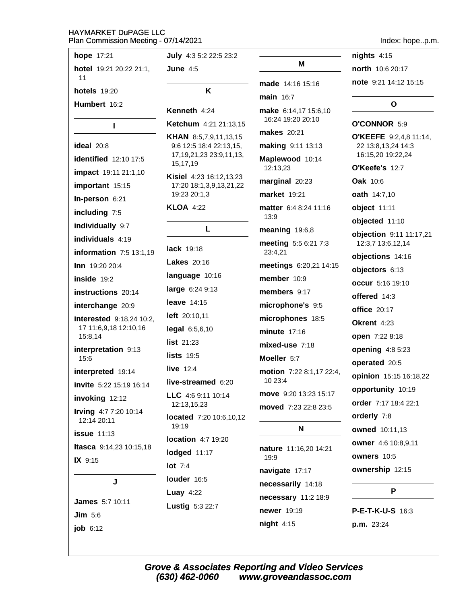| hope 17:21                                   | <b>July</b> 4:3 5:2 22:5 23:2                           |                                           |
|----------------------------------------------|---------------------------------------------------------|-------------------------------------------|
| hotel 19:21 20:22 21:1,                      | June $4:5$                                              | м                                         |
| 11<br><b>hotels</b> 19:20                    | ĸ                                                       | <b>made</b> 14:16 15:16                   |
| Humbert 16:2                                 |                                                         | $main$ 16:7                               |
|                                              | Kenneth 4:24                                            | make 6:14,17 15:6,10<br>16:24 19:20 20:10 |
| L                                            | Ketchum 4:21 21:13,15                                   | <b>makes</b> 20:21                        |
| ideal 20:8                                   | <b>KHAN</b> 8:5,7,9,11,13,15<br>9:6 12:5 18:4 22:13,15, | making 9:11 13:13                         |
| identified 12:10 17:5                        | 17, 19, 21, 23 23: 9, 11, 13,<br>15,17,19               | Maplewood 10:14                           |
| impact 19:11 21:1,10                         | Kisiel 4:23 16:12,13,23                                 | 12:13,23                                  |
| important 15:15                              | 17:20 18:1,3,9,13,21,22                                 | marginal 20:23                            |
| In-person 6:21                               | 19:23 20:1,3                                            | <b>market</b> 19:21                       |
| including 7:5                                | <b>KLOA 4:22</b>                                        | matter 6:4 8:24 11:16<br>13:9             |
| individually 9:7                             | L                                                       | meaning 19:6,8                            |
| individuals 4:19<br>information 7:5 13:1,19  | <b>lack</b> 19:18                                       | meeting 5:5 6:21 7:3<br>23:4,21           |
| <b>Inn</b> 19:20 20:4                        | <b>Lakes</b> 20:16                                      | meetings 6:20,21 14:15                    |
| inside 19:2                                  | language 10:16                                          | member 10:9                               |
| instructions 20:14                           | large 6:24 9:13                                         | members 9:17                              |
| interchange 20:9                             | leave $14:15$                                           | microphone's 9:5                          |
| interested 9:18,24 10:2,                     | left 20:10,11                                           | microphones 18:5                          |
| 17 11:6,9,18 12:10,16<br>15:8,14             | legal 6:5,6,10                                          | minute $17:16$                            |
| interpretation 9:13                          | list $21:23$                                            | $mixed-use$ 7:18                          |
| 15:6                                         | $lists$ 19:5                                            | Moeller 5:7                               |
| interpreted 19:14<br>invite 5:22 15:19 16:14 | live $12:4$<br>live-streamed 6:20                       | motion 7:22 8:1,17 22:4<br>10 23:4        |
| invoking 12:12                               | LLC 4:6 9:11 10:14                                      | move 9:20 13:23 15:17                     |
| Irving 4:7 7:20 10:14                        | 12:13,15,23                                             | <b>moved</b> 7:23 22:8 23:5               |
| 12:14 20:11                                  | located 7:20 10:6,10,12<br>19:19                        | N                                         |
| <b>issue</b> 11:13                           | <b>location</b> 4:7 19:20                               |                                           |
| Itasca 9:14,23 10:15,18<br>IX 9:15           | lodged 11:17                                            | nature 11:16,20 14:21<br>19:9             |
|                                              | $lot$ 7:4                                               | navigate 17:17                            |
| J                                            | louder 16:5                                             | necessarily 14:18                         |
|                                              | Luay $4:22$                                             | necessary 11:2 18:9                       |
| <b>James</b> 5:7 10:11                       | Lustig 5:3 22:7                                         | newer 19:19                               |
| Jim 5:6                                      |                                                         | night 4:15                                |
| job 6:12                                     |                                                         |                                           |

Index: hope..p.m.

 $nights$  4:15 north 10:6 20:17 note 9:21 14:12 15:15

#### $\mathbf{o}$

### O'CONNOR 5:9 O'KEEFE 9:2,4,8 11:14, 22 13:8,13,24 14:3 16:15,20 19:22,24 O'Keefe's 12:7 Oak 10:6 oath 14:7,10 object 11:11 objected 11:10 objection 9:11 11:17,21 12:3,7 13:6,12,14 objections 14:16 objectors 6:13 occur 5:16 19:10 offered 14:3 **office** 20:17 Okrent 4:23 open 7:22 8:18 opening  $4:85:23$ operated 20:5 opinion 15:15 16:18,22 opportunity 10:19 order 7:17 18:4 22:1 orderly 7:8 owned 10:11,13 owner 4:6 10:8,9,11 owners 10:5 ownership 12:15

#### P

P-E-T-K-U-S 16:3 p.m. 23:24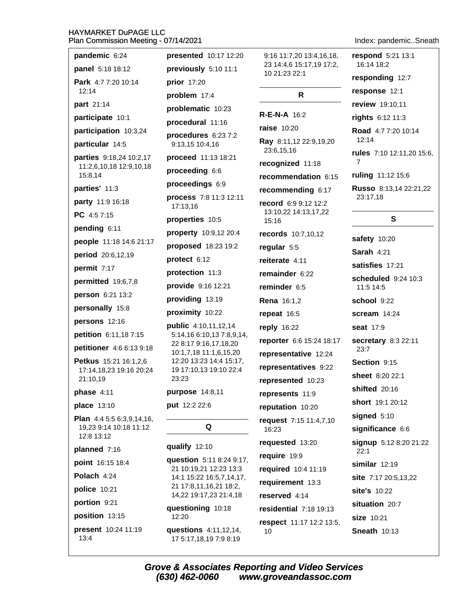| Plan Commission Meeting - 07/14/2021<br>Index: pandemicSneath |                                                                            |                                                                       |                                                    |  |
|---------------------------------------------------------------|----------------------------------------------------------------------------|-----------------------------------------------------------------------|----------------------------------------------------|--|
| pandemic 6:24<br>panel 5:18 18:12<br>Park 4:7 7:20 10:14      | presented 10:17 12:20<br>previously 5:10 11:1<br>prior 17:20               | 9:16 11:7,20 13:4,16,18,<br>23 14:4,6 15:17,19 17:2,<br>10 21:23 22:1 | respond 5:21 13:1<br>16:14 18:2<br>responding 12:7 |  |
| 12:14                                                         | problem 17:4                                                               | R                                                                     | response 12:1                                      |  |
| part 21:14                                                    | problematic 10:23                                                          |                                                                       | review 19:10,11                                    |  |
| participate 10:1                                              | procedural 11:16                                                           | <b>R-E-N-A 16:2</b>                                                   | rights 6:12 11:3                                   |  |
| participation 10:3,24                                         | procedures 6:23 7:2                                                        | <b>raise</b> 10:20                                                    | Road 4:7 7:20 10:14                                |  |
| particular 14:5                                               | 9:13,15 10:4,16                                                            | Ray 8:11,12 22:9,19,20<br>23:6,15,16                                  | 12:14                                              |  |
| parties 9:18,24 10:2,17                                       | proceed 11:13 18:21                                                        | recognized 11:18                                                      | rules 7:10 12:11,20 15:6,<br>7                     |  |
| 11:2,6,10,18 12:9,10,18<br>15:8,14                            | proceeding 6:6                                                             | recommendation 6:15                                                   | ruling 11:12 15:6                                  |  |
| parties' 11:3                                                 | proceedings 6:9                                                            | recommending 6:17                                                     | Russo 8:13,14 22:21,22                             |  |
| party 11:9 16:18                                              | process 7:8 11:3 12:11<br>17:13,16                                         | record 6:9 9:12 12:2                                                  | 23:17,18                                           |  |
| PC 4:57:15                                                    | properties 10:5                                                            | 13:10,22 14:13,17,22<br>15:16                                         | $\mathbf{s}$                                       |  |
| pending 6:11                                                  | property 10:9,12 20:4                                                      | records 10:7,10,12                                                    |                                                    |  |
| people 11:18 14:6 21:17                                       | proposed 18:23 19:2                                                        | regular 5:5                                                           | safety 10:20                                       |  |
| period 20:6,12,19                                             | protect 6:12                                                               | reiterate 4:11                                                        | Sarah 4:21                                         |  |
| permit 7:17                                                   | protection 11:3                                                            | remainder 6:22                                                        | satisfies 17:21                                    |  |
| permitted 19:6,7,8                                            | provide 9:16 12:21                                                         | reminder 6:5                                                          | scheduled 9:24 10:3<br>11:5 14:5                   |  |
| person 6:21 13:2                                              | providing 13:19                                                            | <b>Rena</b> 16:1,2                                                    | school 9:22                                        |  |
| personally 15:8                                               | proximity 10:22                                                            | repeat 16:5                                                           | $scream$ 14:24                                     |  |
| persons 12:16                                                 | public 4:10,11,12,14<br>5:14,16 6:10,13 7:8,9,14,<br>22 8:17 9:16,17,18,20 | reply 16:22                                                           | seat 17:9                                          |  |
| petition 6:11,18 7:15                                         |                                                                            | reporter 6:6 15:24 18:17                                              | secretary 8:3 22:11                                |  |
| petitioner 4:6 6:13 9:18                                      | 10:1,7,18 11:1,6,15,20                                                     | representative 12:24                                                  | 23:7                                               |  |
| Petkus 15:21 16:1,2,6<br>17:14,18,23 19:16 20:24              | 12:20 13:23 14:4 15:17,<br>19 17:10,13 19:10 22:4                          | representatives 9:22                                                  | Section 9:15                                       |  |
| 21:10,19                                                      | 23:23                                                                      | represented 10:23                                                     | <b>sheet</b> 8:20 22:1                             |  |
| phase $4:11$                                                  | purpose 14:8,11                                                            | represents 11:9                                                       | shifted 20:16                                      |  |
| place 13:10                                                   | put 12:2 22:6                                                              | reputation 10:20                                                      | short 19:1 20:12                                   |  |
| <b>Plan</b> $4:45:56:3,9,14,16$ ,<br>19,23 9:14 10:18 11:12   | Q                                                                          | request 7:15 11:4,7,10<br>16:23                                       | signed 5:10<br>significance 6:6                    |  |
| 12:8 13:12<br>planned 7:16                                    | qualify 12:10                                                              | requested 13:20                                                       | signup 5:12 8:20 21:22                             |  |
| point 16:15 18:4                                              | question 5:11 8:24 9:17,                                                   | require 19:9                                                          | 22:1<br>similar $12:19$                            |  |
| Polach 4:24                                                   | 21 10:19,21 12:23 13:3<br>14:1 15:22 16:5,7,14,17,                         | required 10:4 11:19                                                   |                                                    |  |
| police 10:21                                                  | 21 17:8,11,16,21 18:2,                                                     | requirement 13:3                                                      | site 7:17 20:5,13,22<br>site's 10:22               |  |
| portion 9:21                                                  | 14,22 19:17,23 21:4,18                                                     | reserved 4:14                                                         | situation 20:7                                     |  |
| position 13:15                                                | questioning 10:18<br>12:20                                                 | residential 7:18 19:13                                                | size 10:21                                         |  |
| present 10:24 11:19<br>13:4                                   | questions 4:11,12,14,<br>17 5:17,18,19 7:9 8:19                            | respect 11:17 12:2 13:5,<br>10                                        | <b>Sneath 10:13</b>                                |  |